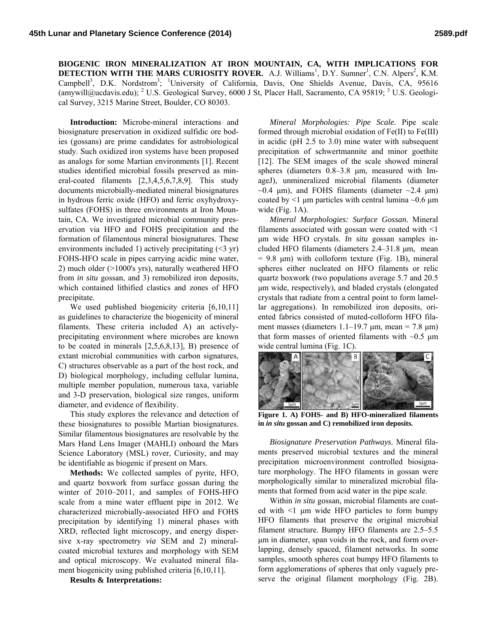**BIOGENIC IRON MINERALIZATION AT IRON MOUNTAIN, CA, WITH IMPLICATIONS FOR DETECTION WITH THE MARS CURIOSITY ROVER.** A.J. Williams<sup>1</sup>, D.Y. Sumner<sup>1</sup>, C.N. Alpers<sup>2</sup>, K.M. Campbell<sup>3</sup>, D.K. Nordstrom<sup>3</sup>; <sup>1</sup>University of California, Davis, One Shields Avenue, Davis, CA, 95616 (amywill@ucdavis.edu); <sup>2</sup> U.S. Geological Survey, 6000 J St, Placer Hall, Sacramento, CA 95819; <sup>3</sup> U.S. Geological Survey, 3215 Marine Street, Boulder, CO 80303.

**Introduction:** Microbe-mineral interactions and biosignature preservation in oxidized sulfidic ore bodies (gossans) are prime candidates for astrobiological study. Such oxidized iron systems have been proposed as analogs for some Martian environments [1]. Recent studies identified microbial fossils preserved as mineral-coated filaments [2,3,4,5,6,7,8,9]. This study documents microbially-mediated mineral biosignatures in hydrous ferric oxide (HFO) and ferric oxyhydroxysulfates (FOHS) in three environments at Iron Mountain, CA. We investigated microbial community preservation via HFO and FOHS precipitation and the formation of filamentous mineral biosignatures. These environments included 1) actively precipitating  $(\leq 3$  yr) FOHS-HFO scale in pipes carrying acidic mine water, 2) much older (>1000's yrs), naturally weathered HFO from *in situ* gossan, and 3) remobilized iron deposits, which contained lithified clastics and zones of HFO precipitate.

We used published biogenicity criteria [6,10,11] as guidelines to characterize the biogenicity of mineral filaments. These criteria included A) an activelyprecipitating environment where microbes are known to be coated in minerals [2,5,6,8,13], B) presence of extant microbial communities with carbon signatures, C) structures observable as a part of the host rock, and D) biological morphology, including cellular lumina, multiple member population, numerous taxa, variable and 3-D preservation, biological size ranges, uniform diameter, and evidence of flexibility.

This study explores the relevance and detection of these biosignatures to possible Martian biosignatures. Similar filamentous biosignatures are resolvable by the Mars Hand Lens Imager (MAHLI) onboard the Mars Science Laboratory (MSL) rover, Curiosity, and may be identifiable as biogenic if present on Mars.

**Methods:** We collected samples of pyrite, HFO, and quartz boxwork from surface gossan during the winter of 2010–2011, and samples of FOHS-HFO scale from a mine water effluent pipe in 2012. We characterized microbially-associated HFO and FOHS precipitation by identifying 1) mineral phases with XRD, reflected light microscopy, and energy dispersive x-ray spectrometry *via* SEM and 2) mineralcoated microbial textures and morphology with SEM and optical microscopy. We evaluated mineral filament biogenicity using published criteria [6,10,11].

**Results & Interpretations:**

*Mineral Morphologies: Pipe Scale.* Pipe scale formed through microbial oxidation of Fe(II) to Fe(III) in acidic (pH 2.5 to 3.0) mine water with subsequent precipitation of schwertmannite and minor goethite [12]. The SEM images of the scale showed mineral spheres (diameters 0.8–3.8 μm, measured with ImageJ), unmineralized microbial filaments (diameter  $\sim$ 0.4 μm), and FOHS filaments (diameter  $\sim$ 2.4 μm) coated by  $\leq 1$  μm particles with central lumina  $\sim 0.6$  μm wide (Fig. 1A).

*Mineral Morphologies: Surface Gossan.* Mineral filaments associated with gossan were coated with  $\leq$ 1 μm wide HFO crystals. *In situ* gossan samples included HFO filaments (diameters 2.4–31.8 μm, mean  $= 9.8$   $\mu$ m) with colloform texture (Fig. 1B), mineral spheres either nucleated on HFO filaments or relic quartz boxwork (two populations average 5.7 and 20.5 μm wide, respectively), and bladed crystals (elongated crystals that radiate from a central point to form lamellar aggregations). In remobilized iron deposits, oriented fabrics consisted of muted-colloform HFO filament masses (diameters  $1.1-19.7 \mu m$ , mean = 7.8  $\mu$ m) that form masses of oriented filaments with  $\sim 0.5$  µm wide central lumina (Fig. 1C).



**Figure 1. A) FOHS- and B) HFO-mineralized filaments in** *in situ* **gossan and C) remobilized iron deposits.** 

*Biosignature Preservation Pathways.* Mineral filaments preserved microbial textures and the mineral precipitation microenvironment controlled biosignature morphology. The HFO filaments in gossan were morphologically similar to mineralized microbial filaments that formed from acid water in the pipe scale.

Within *in situ* gossan, microbial filaments are coated with <1 μm wide HFO particles to form bumpy HFO filaments that preserve the original microbial filament structure. Bumpy HFO filaments are 2.5–5.5 μm in diameter, span voids in the rock, and form overlapping, densely spaced, filament networks. In some samples, smooth spheres coat bumpy HFO filaments to form agglomerations of spheres that only vaguely preserve the original filament morphology (Fig. 2B).